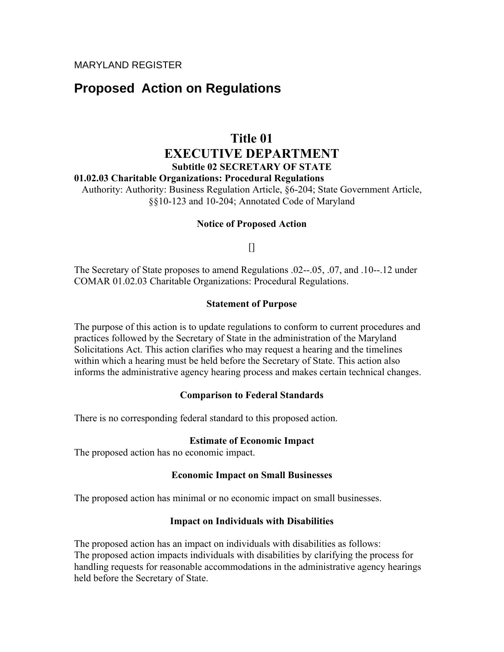# **Proposed Action on Regulations**

# **Title 01 EXECUTIVE DEPARTMENT Subtitle 02 SECRETARY OF STATE**

## **01.02.03 Charitable Organizations: Procedural Regulations**

Authority: Authority: Business Regulation Article, §6-204; State Government Article, §§10-123 and 10-204; Annotated Code of Maryland

## **Notice of Proposed Action**

 $\prod$ 

The Secretary of State proposes to amend Regulations .02--.05, .07, and .10--.12 under COMAR 01.02.03 Charitable Organizations: Procedural Regulations.

## **Statement of Purpose**

The purpose of this action is to update regulations to conform to current procedures and practices followed by the Secretary of State in the administration of the Maryland Solicitations Act. This action clarifies who may request a hearing and the timelines within which a hearing must be held before the Secretary of State. This action also informs the administrative agency hearing process and makes certain technical changes.

## **Comparison to Federal Standards**

There is no corresponding federal standard to this proposed action.

## **Estimate of Economic Impact**

The proposed action has no economic impact.

# **Economic Impact on Small Businesses**

The proposed action has minimal or no economic impact on small businesses.

# **Impact on Individuals with Disabilities**

The proposed action has an impact on individuals with disabilities as follows: The proposed action impacts individuals with disabilities by clarifying the process for handling requests for reasonable accommodations in the administrative agency hearings held before the Secretary of State.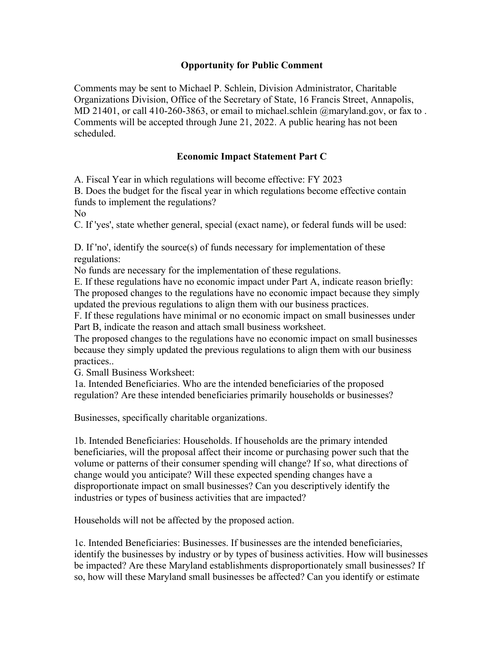# **Opportunity for Public Comment**

Comments may be sent to Michael P. Schlein, Division Administrator, Charitable Organizations Division, Office of the Secretary of State, 16 Francis Street, Annapolis, MD 21401, or call 410-260-3863, or email to michael.schlein @maryland.gov, or fax to. Comments will be accepted through June 21, 2022. A public hearing has not been scheduled.

# **Economic Impact Statement Part C**

A. Fiscal Year in which regulations will become effective: FY 2023

B. Does the budget for the fiscal year in which regulations become effective contain funds to implement the regulations?

No

C. If 'yes', state whether general, special (exact name), or federal funds will be used:

D. If 'no', identify the source(s) of funds necessary for implementation of these regulations:

No funds are necessary for the implementation of these regulations.

E. If these regulations have no economic impact under Part A, indicate reason briefly: The proposed changes to the regulations have no economic impact because they simply updated the previous regulations to align them with our business practices.

F. If these regulations have minimal or no economic impact on small businesses under Part B, indicate the reason and attach small business worksheet.

The proposed changes to the regulations have no economic impact on small businesses because they simply updated the previous regulations to align them with our business practices..

G. Small Business Worksheet:

1a. Intended Beneficiaries. Who are the intended beneficiaries of the proposed regulation? Are these intended beneficiaries primarily households or businesses?

Businesses, specifically charitable organizations.

1b. Intended Beneficiaries: Households. If households are the primary intended beneficiaries, will the proposal affect their income or purchasing power such that the volume or patterns of their consumer spending will change? If so, what directions of change would you anticipate? Will these expected spending changes have a disproportionate impact on small businesses? Can you descriptively identify the industries or types of business activities that are impacted?

Households will not be affected by the proposed action.

1c. Intended Beneficiaries: Businesses. If businesses are the intended beneficiaries, identify the businesses by industry or by types of business activities. How will businesses be impacted? Are these Maryland establishments disproportionately small businesses? If so, how will these Maryland small businesses be affected? Can you identify or estimate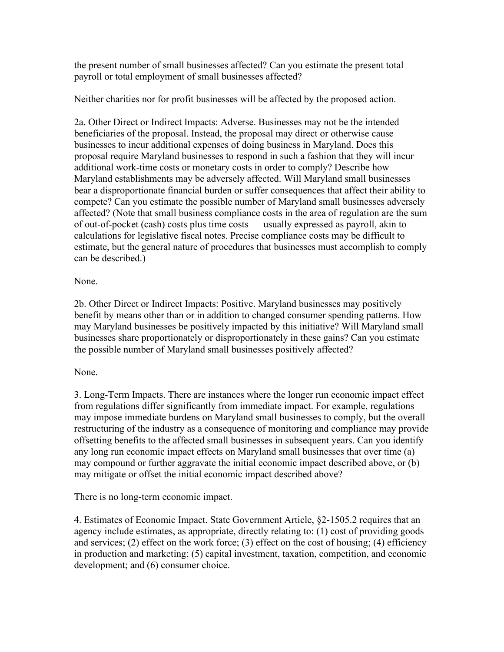the present number of small businesses affected? Can you estimate the present total payroll or total employment of small businesses affected?

Neither charities nor for profit businesses will be affected by the proposed action.

2a. Other Direct or Indirect Impacts: Adverse. Businesses may not be the intended beneficiaries of the proposal. Instead, the proposal may direct or otherwise cause businesses to incur additional expenses of doing business in Maryland. Does this proposal require Maryland businesses to respond in such a fashion that they will incur additional work-time costs or monetary costs in order to comply? Describe how Maryland establishments may be adversely affected. Will Maryland small businesses bear a disproportionate financial burden or suffer consequences that affect their ability to compete? Can you estimate the possible number of Maryland small businesses adversely affected? (Note that small business compliance costs in the area of regulation are the sum of out-of-pocket (cash) costs plus time costs — usually expressed as payroll, akin to calculations for legislative fiscal notes. Precise compliance costs may be difficult to estimate, but the general nature of procedures that businesses must accomplish to comply can be described.)

None.

2b. Other Direct or Indirect Impacts: Positive. Maryland businesses may positively benefit by means other than or in addition to changed consumer spending patterns. How may Maryland businesses be positively impacted by this initiative? Will Maryland small businesses share proportionately or disproportionately in these gains? Can you estimate the possible number of Maryland small businesses positively affected?

# None.

3. Long-Term Impacts. There are instances where the longer run economic impact effect from regulations differ significantly from immediate impact. For example, regulations may impose immediate burdens on Maryland small businesses to comply, but the overall restructuring of the industry as a consequence of monitoring and compliance may provide offsetting benefits to the affected small businesses in subsequent years. Can you identify any long run economic impact effects on Maryland small businesses that over time (a) may compound or further aggravate the initial economic impact described above, or (b) may mitigate or offset the initial economic impact described above?

There is no long-term economic impact.

4. Estimates of Economic Impact. State Government Article, §2-1505.2 requires that an agency include estimates, as appropriate, directly relating to: (1) cost of providing goods and services; (2) effect on the work force; (3) effect on the cost of housing; (4) efficiency in production and marketing; (5) capital investment, taxation, competition, and economic development; and (6) consumer choice.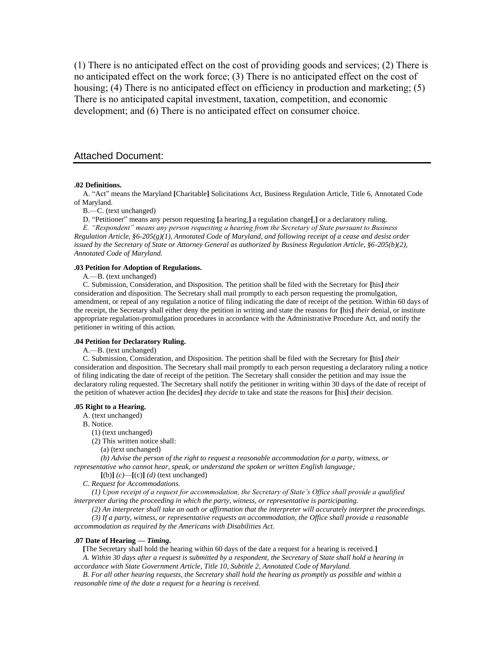(1) There is no anticipated effect on the cost of providing goods and services; (2) There is no anticipated effect on the work force; (3) There is no anticipated effect on the cost of housing; (4) There is no anticipated effect on efficiency in production and marketing; (5) There is no anticipated capital investment, taxation, competition, and economic development; and (6) There is no anticipated effect on consumer choice.

### Attached Document:

#### **.02 Definitions.**

A. "Act" means the Maryland **[**Charitable**]** Solicitations Act, Business Regulation Article, Title 6, Annotated Code of Maryland.

B.—C. (text unchanged)

D. "Petitioner" means any person requesting **[**a hearing,**]** a regulation change**[**,**]** or a declaratory ruling.

*E. "Respondent" means any person requesting a hearing from the Secretary of State pursuant to Business Regulation Article, §6-205(g)(1), Annotated Code of Maryland, and following receipt of a cease and desist order issued by the Secretary of State or Attorney General as authorized by Business Regulation Article, §6-205(b)(2), Annotated Code of Maryland.* 

### **.03 Petition for Adoption of Regulations.**

A.—B. (text unchanged)

C. Submission, Consideration, and Disposition. The petition shall be filed with the Secretary for **[**his**]** *their* consideration and disposition. The Secretary shall mail promptly to each person requesting the promulgation, amendment, or repeal of any regulation a notice of filing indicating the date of receipt of the petition. Within 60 days of the receipt, the Secretary shall either deny the petition in writing and state the reasons for **[**his**]** *their* denial, or institute appropriate regulation-promulgation procedures in accordance with the Administrative Procedure Act, and notify the petitioner in writing of this action.

### **.04 Petition for Declaratory Ruling.**

A.—B. (text unchanged)

C. Submission, Consideration, and Disposition. The petition shall be filed with the Secretary for **[**his**]** *their* consideration and disposition. The Secretary shall mail promptly to each person requesting a declaratory ruling a notice of filing indicating the date of receipt of the petition. The Secretary shall consider the petition and may issue the declaratory ruling requested. The Secretary shall notify the petitioner in writing within 30 days of the date of receipt of the petition of whatever action **[**he decides**]** *they decide* to take and state the reasons for **[**his**]** *their* decision.

#### **.05 Right to a Hearing.**

A. (text unchanged)

B. Notice.

(1) (text unchanged)

(2) This written notice shall:

(a) (text unchanged)

*(b) Advise the person of the right to request a reasonable accommodation for a party, witness, or representative who cannot hear, speak, or understand the spoken or written English language;*

**[**(b)**]** *(c)*—**[**(c)**]** *(d)* (text unchanged)

*C. Request for Accommodations.*

*(1) Upon receipt of a request for accommodation, the Secretary of State's Office shall provide a qualified interpreter during the proceeding in which the party, witness, or representative is participating.*

*(2) An interpreter shall take an oath or affirmation that the interpreter will accurately interpret the proceedings. (3) If a party, witness, or representative requests an accommodation, the Office shall provide a reasonable accommodation as required by the Americans with Disabilities Act.*

# **.07 Date of Hearing** *— Timing***.**

**[**The Secretary shall hold the hearing within 60 days of the date a request for a hearing is received.**]** *A. Within 30 days after a request is submitted by a respondent, the Secretary of State shall hold a hearing in* 

*accordance with State Government Article, Title 10, Subtitle 2, Annotated Code of Maryland.*

*B. For all other hearing requests, the Secretary shall hold the hearing as promptly as possible and within a reasonable time of the date a request for a hearing is received.*